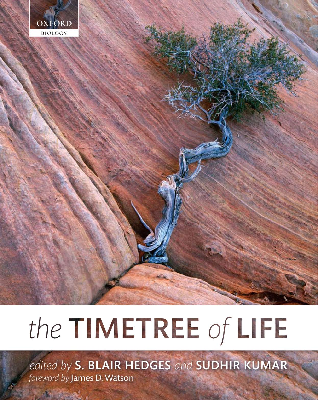

# the TIMETREE of LIFE

edited by S. BLAIR HEDGES and SUDHIR KUMAR foreword by James D. Watson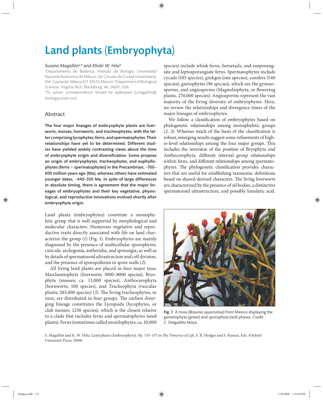# Land plants (Embryophyta)

## *Susana Magallón*a,*\* and Khidir W. Hilu*<sup>b</sup>

a Departamento de Botánica, Instituto de Biología, Universidad Nacional Autónoma de México, 3er Circuito de Ciudad Universitaria, Del. Coyoacán, México D.F. 04510, Mexico; <sup>b</sup>Department of Biological Sciences, Virginia Tech, Blacksburg, VA, 24061, USA

\*To whom correspondence should be addressed (s.magallon@ ibiologia.unam.mx)

# Abstract

The four major lineages of embryophyte plants are liverworts, mosses, hornworts, and tracheophytes, with the latter comprising lycophytes, ferns, and spermatophytes. Their relationships have yet to be determined. Different studies have yielded widely contrasting views about the time of embryophyte origin and diversification. Some propose an origin of embryophytes, tracheophytes, and euphyllophytes (ferns + spermatophytes) in the Precambrian, ~700– 600 million years ago (Ma), whereas others have estimated younger dates, ~440–350 Ma. In spite of large differences in absolute timing, there is agreement that the major lineages of embryophytes and their key vegetative, physiological, and reproductive innovations evolved shortly after embryophyte origin.

Land plants (embryophytes) constitute a monophyletic group that is well supported by morphological and molecular characters. Numerous vegetative and reproductive traits directly associated with life on land characterize the group (*1*) (Fig. 1). Embryophytes are mainly diagnosed by the presence of multicellular sporophytes, cuticule, archegonia, antheridia, and sporangia, as well as by details of spermatozoid ultrastructure and cell division, and the presence of sporopollenin in spore walls (*2*).

All living land plants are placed in four major taxa: Marchantiophyta (liverworts; 5000–8000 species), Bryophyta (mosses; ca. 13,000 species), Anthocerophyta (hornworts; 100 species), and Tracheophyta (vascular plants; 285,000 species) (3). The living tracheophytes, in turn, are distributed in four groups. The earliest diverging lineage constitutes the Lycopsida (lycophytes, or club mosses; 1230 species), which is the closest relative to a clade that includes ferns and spermatophytes (seed plants). Ferns (sometimes called monilophytes; ca. 10,000 species) include whisk ferns, horsetails, and eusporangiate and leptosporangiate ferns. Spermatophytes include cycads (105 species), ginkgos (one species), conifers (540 species), gnetophytes (96 species), which are the gymnosperms, and angiosperms (Magnoliophyta, or flowering plants, 270,000 species). Angiosperms represent the vast majority of the living diversity of embryophytes. Here, we review the relationships and divergence times of the major lineages of embryophytes.

We follow a classification of embryophytes based on phylogenetic relationships among monophyletic groups  $(2, 3)$ . Whereas much of the basis of the classification is robust, emerging results suggest some refinements of higher-level relationships among the four major groups. This includes the inversion of the position of Bryophyta and Anthocerophyta, different internal group relationships within ferns, and different relationships among spermatophytes. The phylogenetic classification provides characters that are useful for establishing taxonomic definitions based on shared-derived characters. The living liverworts are characterized by the presence of oil bodies, a distinctive spermatozoid ultrastructure, and possibly lunularic acid.



Fig. 1 A moss (*Braunia squarrulosa*) from Mexico displaying the gametophyte (green) and sporophyte (red) phases. Credit: C. Delgadillo Moya.

S. Magallón and K. W. Hilu. Land plants (Embryophyta). Pp. 133-137 in *The Timetree of Life*, S. B. Hedges and S. Kumar, Eds. (Oxford University Press, 2009).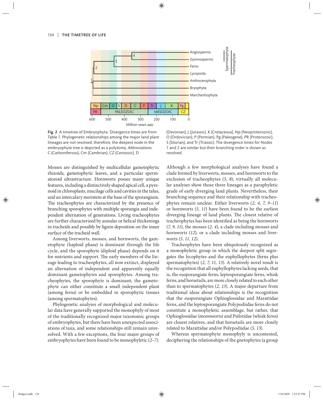

Fig. 2 A timetree of Embryophyta. Divergence times are from Table 1. Phylogenetic relationships among the major land plant lineages are not resolved; therefore, the deepest node in the embryophyte tree is depicted as a polytomy. *Abbreviations*: C (Carboniferous), Cm (Cambrian), CZ (Cenozoic), D

Mosses are distinguished by multicellular gametophytic rhizoids, gametophytic leaves, and a particular spermatozoid ultrastructure. Hornworts posses many unique features, including a distinctively shaped apical cell, a pyrenoid in chloroplasts, mucilage cells and cavities in the talus, and an intercalary meristem at the base of the sporangium. The tracheophytes are characterized by the presence of branching sporophytes with multiple sporangia and independent alternation of generations. Living tracheophytes are further characterized by annular or helical thickenings in tracheids and possibly by lignin deposition on the inner surface of the tracheid wall.

Among liverworts, mosses, and hornworts, the gametophyte (haploid phase) is dominant through the life cycle, and the sporophyte (diploid phase) depends on it for nutrients and support. The early members of the lineage leading to tracheophytes, all now extinct, displayed an alternation of independent and apparently equally dominant gametophytes and sporophytes. Among tracheophytes, the sporophyte is dominant; the gametophyte can either constitute a small independent plant (among ferns) or be embedded in sporophytic tissues (among spermatophytes).

Phylogenetic analyses of morphological and molecular data have generally supported the monophyly of most of the traditionally recognized major taxonomic groups of embryophytes, but there have been unexpected associations of taxa, and some relationships still remain unresolved. With a few exceptions, the four major groups of embryophytes have been found to be monophyletic (*2–7*).

(Devonian), J (Jurassic), K (Cretaceous), Np (Neoproterozoic), O (Ordovician), P (Permian), Pg (Paleogene), PR (Proterozoic), S (Silurian), and Tr (Triassic). The divergence times for Nodes 1 and 2 are similar but their branching order is shown as resolved.

Although a few morphological analyses have found a clade formed by liverworts, mosses, and hornworts to the exclusion of tracheophytes (5, 8), virtually all molecular analyses show those three lineages as a paraphyletic grade of early diverging land plants. Nevertheless, their branching sequence and their relationship with tracheophytes remain unclear. Either liverworts (*2, 4, 7, 9–11*) or hornworts (*5, 11*) have been found to be the earliest diverging lineage of land plants. The closest relative of tracheophytes has been identified as being the hornworts (*7, 9, 11*), the mosses (*2, 4*), a clade including mosses and hornworts (*12*), or a clade including mosses and liverworts (*5, 11, 12*).

Tracheophytes have been ubiquitously recognized as a monophyletic group in which the deepest split segregates the lycophytes and the euphyllophytes (ferns plus spermatophytes) (*2, 7, 11, 13*). A relatively novel result is the recognition that all euphyllophytes lacking seeds, that is, the eusporangiate ferns, leptosporangiate ferns, whisk ferns, and horsetails, are more closely related to each other than to spermatophytes (*2, 13*). A major departure from traditional ideas about relationships is the recognition that the eusporangiate Ophioglossidae and Marattidae ferns, and the leptosporangiate Polypodiidae ferns do not constitute a monophyletic assemblage, but rather, that Ophioglossidae (moonworts) and Psilotidae (whisk ferns) are closest relatives, and that horsetails are more closely related to Marattidae and/or Polypodiidae (*5, 13*).

Whereas spermatophyte monophyly is uncontested, deciphering the relationships of the gnetophytes (a group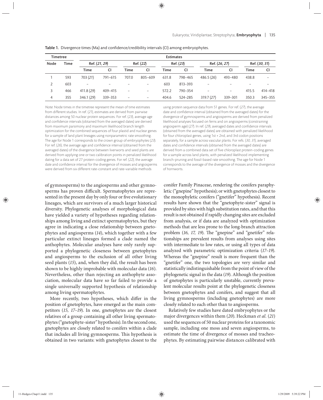| <b>Timetree</b> |      | <b>Estimates</b>         |                 |                          |                          |           |         |                          |                          |               |                          |
|-----------------|------|--------------------------|-----------------|--------------------------|--------------------------|-----------|---------|--------------------------|--------------------------|---------------|--------------------------|
| Node            | Time | Ref. (21, 29)            |                 | Ref. (22)                |                          | Ref. (23) |         | Ref. (26, 27)            |                          | Ref. (30, 31) |                          |
|                 |      | <b>Time</b>              | CI              | <b>Time</b>              | CI                       | Time      | CI      | Time                     | CI                       | Time          | CI                       |
|                 | 593  | 703 (21)                 | 791-615         | 707.0                    | 805-609                  | 631.8     | 798-465 | 486.5 (26)               | 493-480                  | 438.8         | $\overline{\phantom{0}}$ |
| 2               | 603  | $\overline{\phantom{a}}$ | $\qquad \qquad$ | -                        | $\overline{\phantom{0}}$ | 603       | 813-393 | $\overline{\phantom{0}}$ | $\overline{\phantom{0}}$ | -             | $\overline{\phantom{a}}$ |
| 3               | 466  | 411.8 (29)               | $409 - 415$     | $\overline{\phantom{0}}$ | $\qquad \qquad -$        | 572.2     | 790-354 | -                        | $\qquad \qquad =$        | 415.5         | $414 - 418$              |
| 4               | 355  | 346.1 (29)               | 339-353         | $\overline{\phantom{0}}$ | $\overline{\phantom{0}}$ | 404.6     | 524-285 | 319.7 (27)               | 339-301                  | 350.3         | 345-355                  |

Table 1. Divergence times (Ma) and confidence/credibility intervals (CI) among embryophytes.

Note: Node times in the timetree represent the mean of time estimates from different studies. In ref. (21), estimates are derived from pairwise distances among 50 nuclear protein sequences. For ref. (23), average age and confidence intervals (obtained from the averaged dates) are derived from maximum parsimony and maximum likelihood branch length optimization for the combined sequences of four plastid and nuclear genes for a sample of land plant lineages using nonparametric rate smoothing. The age for Node 1 corresponds to the crown group of embryophytes (23). For ref. (26), the average age and confidence interval (obtained from the averaged dates) of the divergence between liverworts and seed plants are derived from applying one or two calibration points in penalized likelihood dating for a data set of 27 protein-coding genes. For ref. (22), the average date and confidence interval for the divergence of mosses and angiosperms were derived from six different rate-constant and rate-variable methods

of gymnosperms) to the angiosperms and other gymnosperms has proven difficult. Spermatophytes are represented in the present day by only four or five evolutionary lineages, which are survivors of a much larger historical diversity. Phylogenetic analyses of morphological data have yielded a variety of hypotheses regarding relationships among living and extinct spermatophytes, but they agree in indicating a close relationship between gnetophytes and angiosperms (*14*), which together with a few particular extinct lineages formed a clade named the anthophytes. Molecular analyses have only rarely supported a phylogenetic closeness between gnetophytes and angiosperms to the exclusion of all other living seed plants (*15*), and, when they did, the result has been shown to be highly improbable with molecular data (*16*). Nevertheless, other than rejecting an anthophyte association, molecular data have so far failed to provide a single universally supported hypothesis of relationship among living spermatophytes.

More recently, two hypotheses, which differ in the position of gnetophytes, have emerged as the main competitors (*15, 17–19*). In one, gnetophytes are the closest relatives of a group containing all other living spermatophytes ("gnetophyte-sister" hypothesis). In the second one, gnetophytes are closely related to conifers within a clade that includes all living gymnosperms. This hypothesis is obtained in two variants: with gnetophytes closest to the using protein sequence data from 51 genes. For ref. (27), the average date and confidence interval (obtained from the averaged dates) for the divergence of gymnosperms and angiosperms are derived from penalized likelihood analyses focused on ferns and on angiosperms (constraining angiosperm age) (27). In ref. (29), averaged dates and confidence intervals (obtained from the averaged dates) are obtained with penalized likelihood for four chloroplast genes, using 1st + 2nd, and 3rd codon positions separately, for a sample across vascular plants. For refs. (30, 31), averaged dates and confidence intervals (obtained from the averaged dates) are derived from a combined data set of five chloroplast protein-coding genes for a sample across land plants, with penalized likelihood implementing branch-pruning and fossil-based rate smoothing. The age for Node 1 corresponds to the average of the divergence of mosses and the divergence of hornworts.

conifer Family Pinaceae, rendering the conifers paraphyletic ("gnepine" hypothesis); or with gnetophytes closest to the monophyletic conifers ("gnetifer" hypothesis). Recent results have shown that the "gnetophyte-sister" signal is provided by sites with high substitution rates, and that this result is not obtained if rapidly changing sites are excluded from analysis, or if data are analyzed with optimization methods that are less prone to the long-branch attraction problem (16, 17, 19). The "gnepine" and "gnetifer" relationships are prevalent results from analyses using sites with intermediate to low rates, or using all types of data analyzed with parametric optimization criteria (*17–19*). Whereas the "gnepine" result is more frequent than the "gnetifer" one, the two topologies are very similar and statistically indistinguishable from the point of view of the phylogenetic signal in the data (*19*). Although the position of gnetophytes is particularly unstable, currently prevalent molecular results point at the phylogenetic closeness between gnetophytes and conifers, and suggest that all living gymnosperms (including gnetophytes) are more closely related to each other than to angiosperms.

Relatively few studies have dated embryophytes or the major divergences within them (*20*). Heckman *et al.* (*21*) used the sequences of 50 nuclear proteins for a taxonomic sample, including one moss and seven angiosperms, to estimate the time of divergence of mosses and tracheophytes. By estimating pairwise distances calibrated with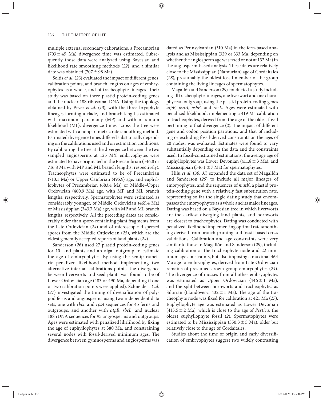multiple external secondary calibrations, a Precambrian  $(703 \pm 45)$  Ma) divergence time was estimated. Subsequently those data were analyzed using Bayesian and likelihood rate smoothing methods (*22*), and a similar date was obtained (707  $\pm$  98 Ma).

Soltis *et al.* (23) evaluated the impact of different genes, calibration points, and branch lengths on ages of embryophytes as a whole, and of tracheophyte lineages. Their study was based on three plastid protein-coding genes and the nuclear 18S ribosomal DNA. Using the topology obtained by Pryer *et al.* (*13*), with the three bryophyte lineages forming a clade, and branch lengths estimated with maximum parsimony  $(MP)$  and with maximum likelihood (ML), divergence times across the tree were estimated with a nonparametric rate smoothing method. Estimated divergence times differed substantially depending on the calibrations used and on estimation conditions. By calibrating the tree at the divergence between the two sampled angiosperms at 125 MY, embryophytes were estimated to have originated in the Precambrian (546.8 or 716.8 Ma with MP and ML branch lengths, respectively). Tracheophytes were estimated to be of Precambrian (710.1 Ma) or Upper Cambrian (495.9) age, and euphyllophytes of Precambrian (683.4 Ma) or Middle–Upper Ordovician (460.9 Ma) age, with MP and ML branch lengths, respectively. Spermatophytes were estimated as considerably younger, of Middle Ordovician (465.4 Ma) or Mississippian (343.7 Ma) age, with MP and ML branch lengths, respectively. All the preceding dates are considerably older than spore-containing plant fragments from the Late Ordovician (*24*) and of microscopic dispersed spores from the Middle Ordovician (*25*), which are the oldest generally accepted reports of land plants (*24*).

Sanderson (*26*) used 27 plastid protein-coding genes for 10 land plants and an algal outgroup to estimate the age of embryophytes. By using the semiparametric penalized likelihood method implementing two alternative internal calibrations points, the divergence between liverworts and seed plants was found to be of Lower Ordovician age (483 or 490 Ma, depending if one or two calibration points were applied). Schneider *et al.* (27) investigated the timing of diversification of polypod ferns and angiosperms using two independent data sets, one with *rbcL* and *rps4* sequences for 45 ferns and outgroups, and another with *atpB*, *rbcL*, and nuclear 18S rDNA sequences for 95 angiosperms and outgroups. Ages were estimated with penalized likelihood by fixing the age of euphyllophytes at 380 Ma, and constraining several nodes with fossil-derived minimum ages. The divergence between gymnosperms and angiosperms was

dated as Pennsylvanian (310 Ma) in the fern-based analysis and as Mississippian (329 or 333 Ma, depending on whether the angiosperm age was fixed or not at 132 Ma) in the angiosperm-based analysis. These dates are relatively close to the Mississippian (Namurian) age of Cordaitales (*28*), presumably the oldest fossil member of the group containing the living lineages of spermatophytes.

Magallón and Sanderson (*29*) conducted a study including all tracheophyte lineages, one liverwort and one charophycean outgroup, using the plastid protein-coding genes *atpB*, *psaA*, *psbB*, and *rbcL*. Ages were estimated with penalized likelihood, implementing a 419 Ma calibration to tracheophytes, derived from the age of the oldest fossil pertaining to that divergence (2). The impact of different gene and codon position partitions, and that of including or excluding fossil-derived constraints on the ages of 20 nodes, was evaluated. Estimates were found to vary substantially depending on the data and the constraints used. In fossil-constrained estimations, the average age of euphyllophytes was Lower Devonian (411.8  $\pm$  3 Ma), and Mississippian (346.1  $\pm$  7 Ma) for spermatophytes.

Hilu *et al.* (*30, 31*) expanded the data set of Magallón and Sanderson (29) to include all major lineages of embryophytes, and the sequences of *matK*, a plastid protein-coding gene with a relatively fast substitution rate, representing so far the single dating study that encompasses the embryophytes as a whole and its major lineages. Dating was based on a Bayesian tree in which liverworts are the earliest diverging land plants, and hornworts are closest to tracheophytes. Dating was conducted with penalized likelihood implementing optimal rate smoothing derived from branch-pruning and fossil-based cross validations. Calibration and age constraints were very similar to those in Magallón and Sanderson (*29*), including calibration at the tracheophyte node and 22 minimum age constraints, but also imposing a maximal 464 Ma age to embryophytes, derived from Late Ordovician remains of presumed crown group embryophytes (*24*). The divergence of mosses from all other embryophytes was estimated as Upper Ordovician  $(446 \pm 1 \text{ Ma})$ , and the split between hornworts and tracheophytes as Silurian (Llandovery;  $432 \pm 1$  Ma). The age of the tracheophyte node was fixed for calibration at 421 Ma (27). Euphyllophyte age was estimated as Lower Devonian  $(415.5 \pm 2 \text{ Ma})$ , which is close to the age of *Pertica*, the oldest eu phyllophyte fossil (*2*). Spermatophytes were estimated to be Mississippian (350.3  $\pm$  5 Ma), older but relatively close to the age of Cordaitales.

Studies about the time of origin and early diversification of embryophytes suggest two widely contrasting